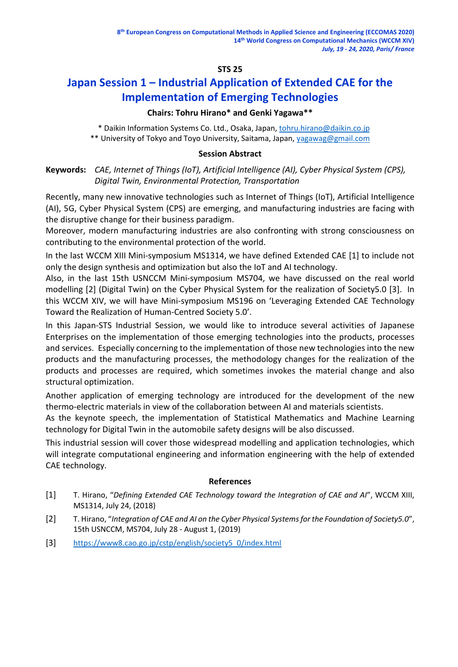# **STS 25**

# **Japan Session 1 – Industrial Application of Extended CAE for the Implementation of Emerging Technologies**

## **Chairs: Tohru Hirano\* and Genki Yagawa\*\***

 \* Daikin Information Systems Co. Ltd., Osaka, Japan, [tohru.hirano@daikin.co.jp](mailto:tohru.hirano@daikin.co.jp)  \*\* University of Tokyo and Toyo University, Saitama, Japan, [yagawag@gmail.com](mailto:yagawag@gmail.com)

#### **Session Abstract**

**Keywords:** *CAE, Internet of Things (IoT), Artificial Intelligence (AI), Cyber Physical System (CPS), Digital Twin, Environmental Protection, Transportation*

Recently, many new innovative technologies such as Internet of Things (IoT), Artificial Intelligence (AI), 5G, Cyber Physical System (CPS) are emerging, and manufacturing industries are facing with the disruptive change for their business paradigm.

Moreover, modern manufacturing industries are also confronting with strong consciousness on contributing to the environmental protection of the world.

In the last WCCM XIII Mini-symposium MS1314, we have defined Extended CAE [1] to include not only the design synthesis and optimization but also the IoT and AI technology.

Also, in the last 15th USNCCM Mini-symposium MS704, we have discussed on the real world modelling [2] (Digital Twin) on the Cyber Physical System for the realization of Society5.0 [3]. In this WCCM XIV, we will have Mini-symposium MS196 on 'Leveraging Extended CAE Technology Toward the Realization of Human-Centred Society 5.0'.

In this Japan-STS Industrial Session, we would like to introduce several activities of Japanese Enterprises on the implementation of those emerging technologies into the products, processes and services. Especially concerning to the implementation of those new technologies into the new products and the manufacturing processes, the methodology changes for the realization of the products and processes are required, which sometimes invokes the material change and also structural optimization.

Another application of emerging technology are introduced for the development of the new thermo-electric materials in view of the collaboration between AI and materials scientists.

As the keynote speech, the implementation of Statistical Mathematics and Machine Learning technology for Digital Twin in the automobile safety designs will be also discussed.

This industrial session will cover those widespread modelling and application technologies, which will integrate computational engineering and information engineering with the help of extended CAE technology.

## **References**

- [1] T. Hirano, "*Defining Extended CAE Technology toward the Integration of CAE and AI*", WCCM XIII, MS1314, July 24, (2018)
- [2] T. Hirano, "*Integration of CAE and AI on the Cyber Physical Systems for the Foundation of Society5.0*", 15th USNCCM, MS704, July 28 - August 1, (2019)
- [3] [https://www8.cao.go.jp/cstp/english/society5\\_0/index.html](https://www8.cao.go.jp/cstp/english/society5_0/index.html)